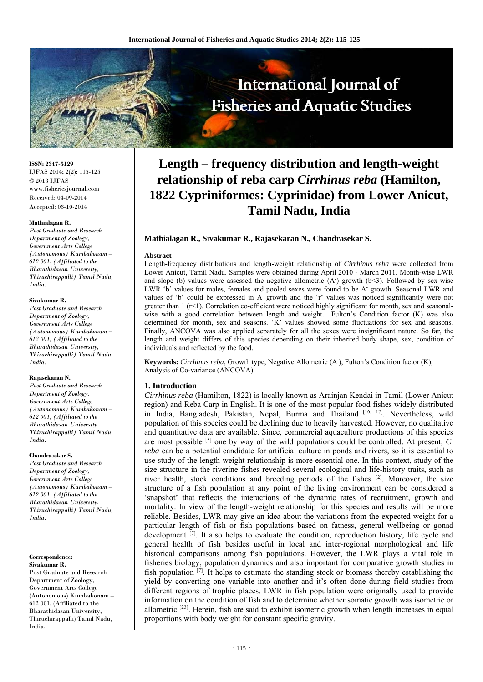

**ISSN: 2347-5129** IJFAS 2014; 2(2): 115-125 © 2013 IJFAS www.fisheriesjournal.com Received: 04-09-2014 Accepted: 03-10-2014

#### **Mathialagan R.**

*Post Graduate and Research Department of Zoology, Government Arts College (Autonomous) Kumbakonam – 612 001, (Affiliated to the Bharathidasan University, Thiruchirappalli) Tamil Nadu, India.* 

#### **Sivakumar R.**

*Post Graduate and Research Department of Zoology, Government Arts College (Autonomous) Kumbakonam – 612 001, (Affiliated to the Bharathidasan University, Thiruchirappalli) Tamil Nadu, India.* 

#### **Rajasekaran N.**

*Post Graduate and Research Department of Zoology, Government Arts College (Autonomous) Kumbakonam – 612 001, (Affiliated to the Bharathidasan University, Thiruchirappalli) Tamil Nadu, India.* 

#### **Chandrasekar S.**

*Post Graduate and Research Department of Zoology, Government Arts College (Autonomous) Kumbakonam – 612 001, (Affiliated to the Bharathidasan University, Thiruchirappalli) Tamil Nadu, India.* 

# **Correspondence:**

**Sivakumar R.**  Post Graduate and Research Department of Zoology, Government Arts College (Autonomous) Kumbakonam – 612 001, (Affiliated to the Bharathidasan University, Thiruchirappalli) Tamil Nadu, India.

# **Length – frequency distribution and length-weight relationship of reba carp** *Cirrhinus reba* **(Hamilton, 1822 Cypriniformes: Cyprinidae) from Lower Anicut, Tamil Nadu, India**

## **Mathialagan R., Sivakumar R., Rajasekaran N., Chandrasekar S.**

#### **Abstract**

Length-frequency distributions and length-weight relationship of *Cirrhinus reba* were collected from Lower Anicut, Tamil Nadu. Samples were obtained during April 2010 - March 2011. Month-wise LWR and slope (b) values were assessed the negative allometric  $(A)$  growth  $(b<3)$ . Followed by sex-wise LWR 'b' values for males, females and pooled sexes were found to be A<sup>-</sup> growth. Seasonal LWR and values of 'b' could be expressed in A- growth and the 'r' values was noticed significantly were not greater than 1 (r<1). Correlation co-efficient were noticed highly significant for month, sex and seasonalwise with a good correlation between length and weight. Fulton's Condition factor (K) was also determined for month, sex and seasons. 'K' values showed some fluctuations for sex and seasons. Finally, ANCOVA was also applied separately for all the sexes were insignificant nature. So far, the length and weight differs of this species depending on their inherited body shape, sex, condition of individuals and reflected by the food.

**Keywords:** *Cirrhinus reba*, Growth type, Negative Allometric (A- ), Fulton's Condition factor (K), Analysis of Co-variance (ANCOVA).

## **1. Introduction**

*Cirrhinus reba* (Hamilton, 1822) is locally known as Arainjan Kendai in Tamil (Lower Anicut region) and Reba Carp in English. It is one of the most popular food fishes widely distributed in India, Bangladesh, Pakistan, Nepal, Burma and Thailand [16, 17]. Nevertheless, wild population of this species could be declining due to heavily harvested. However, no qualitative and quantitative data are available. Since, commercial aquaculture productions of this species are most possible <sup>[5]</sup> one by way of the wild populations could be controlled. At present, *C*. *reba* can be a potential candidate for artificial culture in ponds and rivers, so it is essential to use study of the length-weight relationship is more essential one. In this context, study of the size structure in the riverine fishes revealed several ecological and life-history traits, such as river health, stock conditions and breeding periods of the fishes [2]. Moreover, the size structure of a fish population at any point of the living environment can be considered a 'snapshot' that reflects the interactions of the dynamic rates of recruitment, growth and mortality. In view of the length-weight relationship for this species and results will be more reliable. Besides, LWR may give an idea about the variations from the expected weight for a particular length of fish or fish populations based on fatness, general wellbeing or gonad development  $[7]$ . It also helps to evaluate the condition, reproduction history, life cycle and general health of fish besides useful in local and inter-regional morphological and life historical comparisons among fish populations. However, the LWR plays a vital role in fisheries biology, population dynamics and also important for comparative growth studies in fish population [7]. It helps to estimate the standing stock or biomass thereby establishing the yield by converting one variable into another and it's often done during field studies from different regions of trophic places. LWR in fish population were originally used to provide information on the condition of fish and to determine whether somatic growth was isometric or allometric  $[23]$ . Herein, fish are said to exhibit isometric growth when length increases in equal proportions with body weight for constant specific gravity.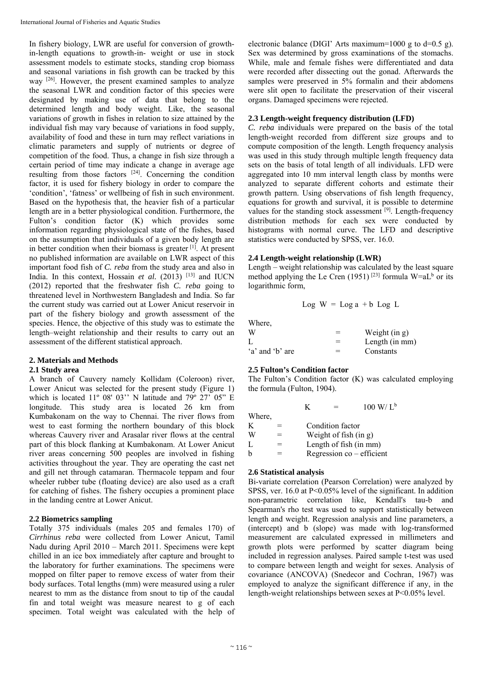In fishery biology, LWR are useful for conversion of growthin-length equations to growth-in- weight or use in stock assessment models to estimate stocks, standing crop biomass and seasonal variations in fish growth can be tracked by this way <sup>[26]</sup>. However, the present examined samples to analyze the seasonal LWR and condition factor of this species were designated by making use of data that belong to the determined length and body weight. Like, the seasonal variations of growth in fishes in relation to size attained by the individual fish may vary because of variations in food supply, availability of food and these in turn may reflect variations in climatic parameters and supply of nutrients or degree of competition of the food. Thus, a change in fish size through a certain period of time may indicate a change in average age resulting from those factors  $[24]$ . Concerning the condition factor, it is used for fishery biology in order to compare the 'condition', 'fatness' or wellbeing of fish in such environment. Based on the hypothesis that, the heavier fish of a particular length are in a better physiological condition. Furthermore, the Fulton's condition factor (K) which provides some information regarding physiological state of the fishes, based on the assumption that individuals of a given body length are in better condition when their biomass is greater [1]. At present no published information are available on LWR aspect of this important food fish of *C. reba* from the study area and also in India. In this context, Hossain *et al.* (2013) <sup>[13]</sup> and IUCN (2012) reported that the freshwater fish *C. reba* going to threatened level in Northwestern Bangladesh and India. So far the current study was carried out at Lower Anicut reservoir in part of the fishery biology and growth assessment of the species. Hence, the objective of this study was to estimate the length–weight relationship and their results to carry out an assessment of the different statistical approach.

# **2. Materials and Methods**

# **2.1 Study area**

A branch of Cauvery namely Kollidam (Coleroon) river, Lower Anicut was selected for the present study (Figure 1) which is located 11° 08' 03" N latitude and 79° 27' 05" E longitude. This study area is located 26 km from Kumbakonam on the way to Chennai. The river flows from west to east forming the northern boundary of this block whereas Cauvery river and Arasalar river flows at the central part of this block flanking at Kumbakonam. At Lower Anicut river areas concerning 500 peoples are involved in fishing activities throughout the year. They are operating the cast net and gill net through catamaran. Thermacole teppam and four wheeler rubber tube (floating device) are also used as a craft for catching of fishes. The fishery occupies a prominent place in the landing centre at Lower Anicut.

# **2.2 Biometrics sampling**

Totally 375 individuals (males 205 and females 170) of *Cirrhinus reba* were collected from Lower Anicut, Tamil Nadu during April 2010 – March 2011. Specimens were kept chilled in an ice box immediately after capture and brought to the laboratory for further examinations. The specimens were mopped on filter paper to remove excess of water from their body surfaces. Total lengths (mm) were measured using a ruler nearest to mm as the distance from snout to tip of the caudal fin and total weight was measure nearest to g of each specimen. Total weight was calculated with the help of electronic balance (DIGI' Arts maximum=1000 g to  $d=0.5$  g). Sex was determined by gross examinations of the stomachs. While, male and female fishes were differentiated and data were recorded after dissecting out the gonad. Afterwards the samples were preserved in 5% formalin and their abdomens were slit open to facilitate the preservation of their visceral organs. Damaged specimens were rejected.

# **2.3 Length-weight frequency distribution (LFD)**

*C. reba* individuals were prepared on the basis of the total length-weight recorded from different size groups and to compute composition of the length. Length frequency analysis was used in this study through multiple length frequency data sets on the basis of total length of all individuals. LFD were aggregated into 10 mm interval length class by months were analyzed to separate different cohorts and estimate their growth pattern. Using observations of fish length frequency, equations for growth and survival, it is possible to determine values for the standing stock assessment [9]. Length-frequency distribution methods for each sex were conducted by histograms with normal curve. The LFD and descriptive statistics were conducted by SPSS, ver. 16.0.

# **2.4 Length-weight relationship (LWR)**

Length – weight relationship was calculated by the least square method applying the Le Cren (1951)<sup>[23]</sup> formula  $W=aL<sup>b</sup>$  or its logarithmic form,

$$
Log W = Log a + b Log L
$$

Where,

| W               |     | Weight $(in g)$ |
|-----------------|-----|-----------------|
|                 | $=$ | Length (in mm)  |
| 'a' and 'b' are | =   | Constants       |

# **2.5 Fulton's Condition factor**

The Fulton's Condition factor (K) was calculated employing the formula (Fulton, 1904).

|        |   | K |                         | $100 \text{ W/L}^b$       |
|--------|---|---|-------------------------|---------------------------|
| Where, |   |   |                         |                           |
| K      |   |   | Condition factor        |                           |
| W      | = |   | Weight of fish $(in g)$ |                           |
| L      |   |   |                         | Length of fish (in mm)    |
| b      |   |   |                         | Regression co - efficient |
|        |   |   |                         |                           |

# **2.6 Statistical analysis**

Bi-variate correlation (Pearson Correlation) were analyzed by SPSS, ver. 16.0 at P<0.05% level of the significant. In addition non-parametric correlation like, Kendall's tau-b and Spearman's rho test was used to support statistically between length and weight. Regression analysis and line parameters, a (intercept) and b (slope) was made with log-transformed measurement are calculated expressed in millimeters and growth plots were performed by scatter diagram being included in regression analyses. Paired sample t-test was used to compare between length and weight for sexes. Analysis of covariance (ANCOVA) (Snedecor and Cochran, 1967) was employed to analyze the significant difference if any, in the length-weight relationships between sexes at P<0.05% level.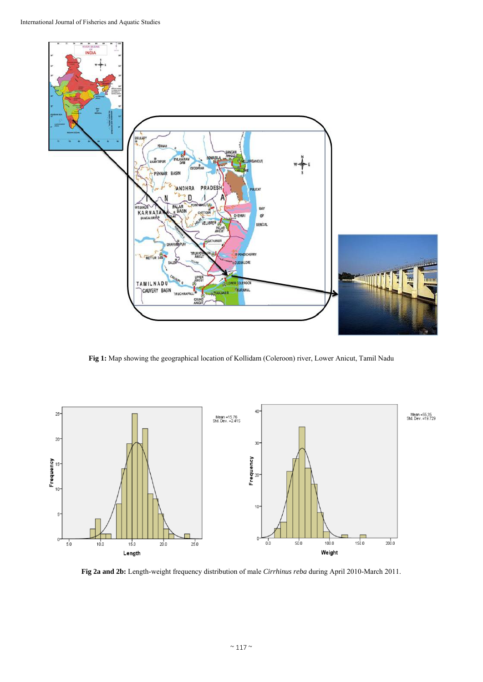

**Fig 1:** Map showing the geographical location of Kollidam (Coleroon) river, Lower Anicut, Tamil Nadu



**Fig 2a and 2b:** Length-weight frequency distribution of male *Cirrhinus reba* during April 2010-March 2011.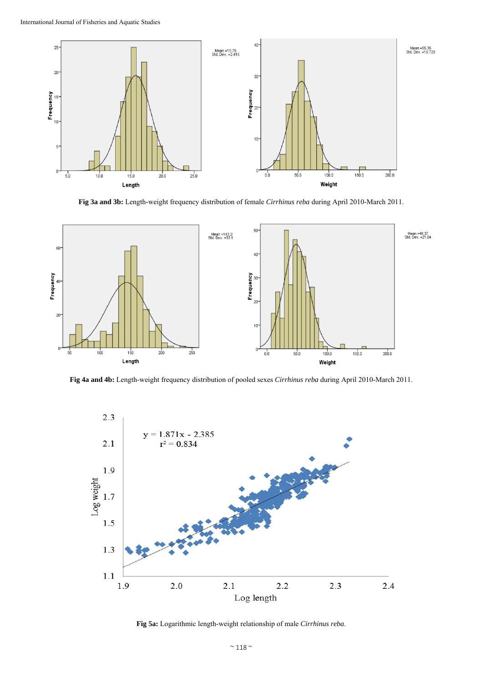

**Fig 3a and 3b:** Length-weight frequency distribution of female *Cirrhinus reba* during April 2010-March 2011.



**Fig 4a and 4b:** Length-weight frequency distribution of pooled sexes *Cirrhinus reba* during April 2010-March 2011.



**Fig 5a:** Logarithmic length-weight relationship of male *Cirrhinus reba*.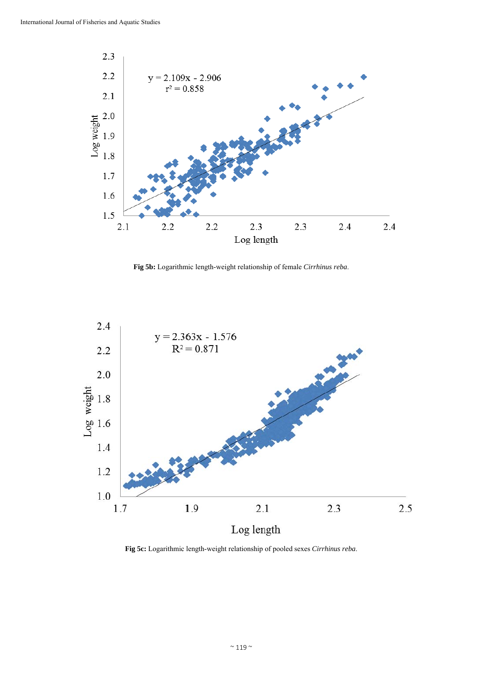

**Fig 5b:** Logarithmic length-weight relationship of female *Cirrhinus reba*.



**Fig 5c:** Logarithmic length-weight relationship of pooled sexes *Cirrhinus reba*.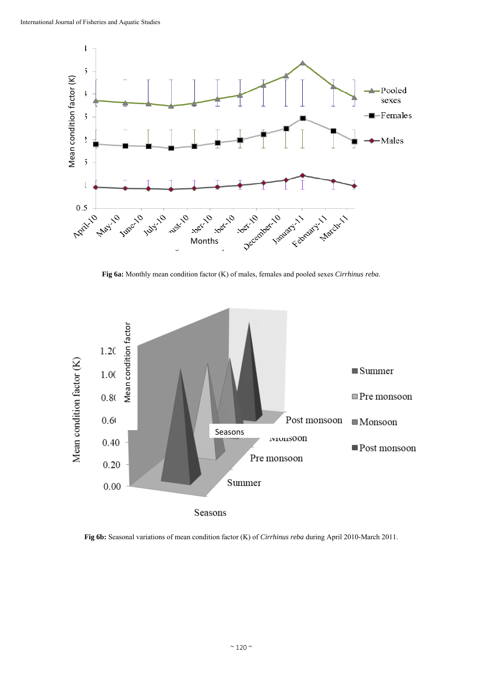

**Fig 6a:** Monthly mean condition factor (K) of males, females and pooled sexes *Cirrhinus reba*.



**Fig 6b:** Seasonal variations of mean condition factor (K) of *Cirrhinus reba* during April 2010-March 2011.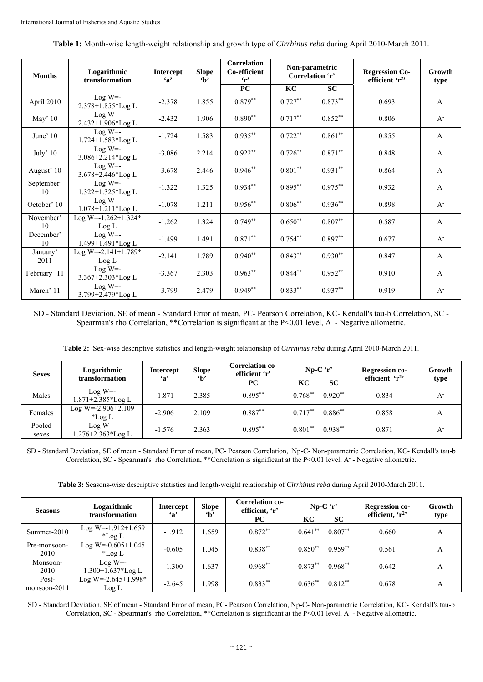| <b>Months</b>    | Logarithmic<br>transformation          | <b>Intercept</b><br>$\mathbf{a}$ | <b>Slope</b><br>$\mathbf{h}$ | <b>Correlation</b><br>Co-efficient<br>$\mathbf{r}$ | Non-parametric<br>Correlation 'r' |            | <b>Regression Co-</b><br>efficient $r^2$ | Growth<br>type |
|------------------|----------------------------------------|----------------------------------|------------------------------|----------------------------------------------------|-----------------------------------|------------|------------------------------------------|----------------|
|                  |                                        |                                  |                              | PC                                                 | KC                                | SC         |                                          |                |
| April 2010       | $Log W = -$<br>2.378+1.855*Log L       | $-2.378$                         | 1.855                        | $0.879**$                                          | $0.727**$                         | $0.873**$  | 0.693                                    | $A^{\dagger}$  |
| May' $10$        | $Log W = -$<br>2.432+1.906*Log L       | $-2.432$                         | 1.906                        | $0.890**$                                          | $0.717**$                         | $0.852**$  | 0.806                                    | $A^{\dagger}$  |
| June' 10         | $Log W = -$<br>$1.724 + 1.583 * Log L$ | $-1.724$                         | 1.583                        | $0.935***$                                         | $0.722**$                         | $0.861**$  | 0.855                                    | $A^{\dagger}$  |
| July' $10$       | $Log W = -$<br>3.086+2.214*Log L       | $-3.086$                         | 2.214                        | $0.922**$                                          | $0.726***$                        | $0.871***$ | 0.848                                    | $A^{\dagger}$  |
| August' 10       | $Log W = -$<br>3.678+2.446*Log L       | $-3.678$                         | 2.446                        | $0.946**$                                          | $0.801**$                         | $0.931**$  | 0.864                                    | $A^{\dagger}$  |
| September'<br>10 | $Log W = -$<br>1.322+1.325*Log L       | $-1.322$                         | 1.325                        | $0.934**$                                          | $0.895***$                        | $0.975***$ | 0.932                                    | $A^{\dagger}$  |
| October' 10      | $Log W = -$<br>$1.078 + 1.211 * Log L$ | $-1.078$                         | 1.211                        | $0.956**$                                          | $0.806**$                         | $0.936**$  | 0.898                                    | $A^{\dagger}$  |
| November'<br>10  | Log W=-1.262+1.324*<br>Log L           | $-1.262$                         | 1.324                        | $0.749**$                                          | $0.650**$                         | $0.807**$  | 0.587                                    | $A^{\dagger}$  |
| December'<br>10  | $Log W = -$<br>1.499+1.491*Log L       | $-1.499$                         | 1.491                        | $0.871***$                                         | $0.754**$                         | $0.897**$  | 0.677                                    | $A^{\dagger}$  |
| January'<br>2011 | Log W=-2.141+1.789*<br>Log L           | $-2.141$                         | 1.789                        | $0.940**$                                          | $0.843**$                         | $0.930**$  | 0.847                                    | $A^{\dagger}$  |
| February' 11     | $Log W = -$<br>3.367+2.303*Log L       | $-3.367$                         | 2.303                        | $0.963**$                                          | $0.844**$                         | $0.952**$  | 0.910                                    | $A^{\dagger}$  |
| March' 11        | $Log W = -$<br>3.799+2.479*Log L       | $-3.799$                         | 2.479                        | $0.949**$                                          | $0.833**$                         | $0.937**$  | 0.919                                    | $A^{\dagger}$  |

**Table 1:** Month-wise length-weight relationship and growth type of *Cirrhinus reba* during April 2010-March 2011.

SD - Standard Deviation, SE of mean - Standard Error of mean, PC- Pearson Correlation, KC- Kendall's tau-b Correlation, SC - Spearman's rho Correlation, \*\* Correlation is significant at the P<0.01 level, A - Negative allometric.

**Table 2:** Sex-wise descriptive statistics and length-weight relationship of *Cirrhinus reba* during April 2010-March 2011.

| <b>Sexes</b>    | Logarithmic<br>transformation     | <b>Intercept</b><br>$\mathbf{a}$ | <b>Slope</b><br>$\mathbf{b}$ | <b>Correlation co-</b><br>$Np-C'r'$<br><b>Regression co-</b><br>efficient 'r' |           |           | efficient $r^2$ | Growth<br>type   |
|-----------------|-----------------------------------|----------------------------------|------------------------------|-------------------------------------------------------------------------------|-----------|-----------|-----------------|------------------|
|                 |                                   |                                  |                              | PC                                                                            | KC        | <b>SC</b> |                 |                  |
| Males           | $Log W = -$<br>1.871+2.385*Log L  | $-1.871$                         | 2.385                        | $0.895***$                                                                    | $0.768**$ | $0.920**$ | 0.834           | $A^{\mathsf{-}}$ |
| Females         | Log W=-2.906+2.109<br>$\pm$ Log L | $-2.906$                         | 2.109                        | $0.887**$                                                                     | $0.717**$ | $0.886**$ | 0.858           | $A^{\mathsf{-}}$ |
| Pooled<br>sexes | $Log W = -$<br>1.276+2.363*Log L  | $-1.576$                         | 2.363                        | $0.895***$                                                                    | $0.801**$ | $0.938**$ | 0.871           | $A^{\dagger}$    |

SD - Standard Deviation, SE of mean - Standard Error of mean, PC- Pearson Correlation, Np-C- Non-parametric Correlation, KC- Kendall's tau-b Correlation, SC - Spearman's rho Correlation, \*\*Correlation is significant at the P<0.01 level, A - Negative allometric.

**Table 3:** Seasons-wise descriptive statistics and length-weight relationship of *Cirrhinus reba* during April 2010-March 2011.

| <b>Seasons</b>        | Logarithmic                        | <b>Intercept</b><br>$\mathbf{a}$ | <b>Slope</b><br>$\mathbf{h}$ | <b>Correlation co-</b><br>efficient, 'r' | $Np-C'$ r' |           | <b>Regression co-</b> | Growth           |
|-----------------------|------------------------------------|----------------------------------|------------------------------|------------------------------------------|------------|-----------|-----------------------|------------------|
|                       | transformation                     |                                  |                              | <b>PC</b>                                | KC         | <b>SC</b> | efficient, $r^2$      | type             |
| Summer-2010           | Log W=-1.912+1.659<br>$^*$ Log L   | $-1.912$                         | 1.659                        | $0.872**$                                | $0.641**$  | $0.807**$ | 0.660                 | $A^{\mathsf{-}}$ |
| Pre-monsoon-<br>2010  | Log W= $-0.605+1.045$<br>*Log $L$  | $-0.605$                         | 1.045                        | $0.838**$                                | $0.850**$  | $0.959**$ | 0.561                 | $A^{\dagger}$    |
| Monsoon-<br>2010      | $Log W = -$<br>$1.300+1.637*Log L$ | $-1.300$                         | 1.637                        | $0.968**$                                | $0.873**$  | $0.968**$ | 0.642                 | $A^{\mathsf{-}}$ |
| Post-<br>monsoon-2011 | Log W=-2.645+1.998*<br>Log L       | $-2.645$                         | 1.998                        | $0.833**$                                | $0.636**$  | $0.812**$ | 0.678                 | $A^{\mathsf{-}}$ |

SD - Standard Deviation, SE of mean - Standard Error of mean, PC- Pearson Correlation, Np-C- Non-parametric Correlation, KC- Kendall's tau-b Correlation, SC - Spearman's rho Correlation, \*\*Correlation is significant at the P<0.01 level, A - Negative allometric.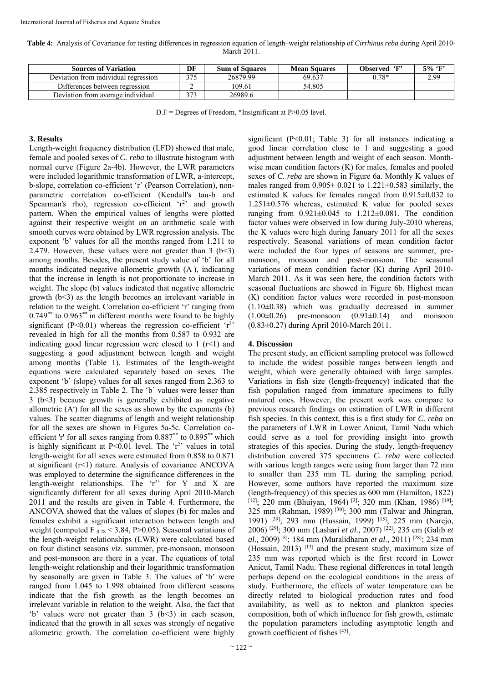**Table 4:** Analysis of Covariance for testing differences in regression equation of length–weight relationship of *Cirrhinus reba* during April 2010- March 2011.

| <b>Sources of Variation</b>          | DF  | <b>Sum of Squares</b> | <b>Mean Squares</b> | Observed 'F' | $5\%$ 'F' |
|--------------------------------------|-----|-----------------------|---------------------|--------------|-----------|
| Deviation from individual regression | 27c | 26879.99              | 69.637              | $0.78*$      | 2.99      |
| Differences between regression       | -   | 109.61                | 54.805              |              |           |
| Deviation from average individual    | 272 | 26989.6               |                     |              |           |

D.F = Degrees of Freedom, \*Insignificant at P>0.05 level.

## **3. Results**

Length-weight frequency distribution (LFD) showed that male, female and pooled sexes of *C. reba* to illustrate histogram with normal curve (Figure 2a-4b). However, the LWR parameters were included logarithmic transformation of LWR, a-intercept, b-slope, correlation co-efficient 'r' (Pearson Correlation), nonparametric correlation co-efficient (Kendall's tau-b and Spearman's rho), regression co-efficient  $r^2$  and growth pattern. When the empirical values of lengths were plotted against their respective weight on an arithmetic scale with smooth curves were obtained by LWR regression analysis. The exponent 'b' values for all the months ranged from 1.211 to 2.479. However, these values were not greater than  $3$  ( $b < 3$ ) among months. Besides, the present study value of 'b' for all months indicated negative allometric growth (A<sup>-</sup>), indicating that the increase in length is not proportionate to increase in weight. The slope (b) values indicated that negative allometric growth  $(b<3)$  as the length becomes an irrelevant variable in relation to the weight. Correlation co-efficient 'r' ranging from  $0.749^{**}$  to  $0.963^{**}$  in different months were found to be highly significant ( $P<0.01$ ) whereas the regression co-efficient ' $r<sup>2</sup>$ ' revealed in high for all the months from 0.587 to 0.932 are indicating good linear regression were closed to  $1$  ( $r$  < 1) and suggesting a good adjustment between length and weight among months (Table 1). Estimates of the length-weight equations were calculated separately based on sexes. The exponent 'b' (slope) values for all sexes ranged from 2.363 to 2.385 respectively in Table 2. The 'b' values were lesser than 3 (b<3) because growth is generally exhibited as negative allometric  $(A)$  for all the sexes as shown by the exponents  $(b)$ values. The scatter diagrams of length and weight relationship for all the sexes are shown in Figures 5a-5c. Correlation coefficient 'r' for all sexes ranging from 0.887\*\* to 0.895\*\* which is highly significant at  $P<0.01$  level. The ' $r^2$ ' values in total length-weight for all sexes were estimated from 0.858 to 0.871 at significant (r<1) nature. Analysis of covariance ANCOVA was employed to determine the significance differences in the length-weight relationships. The ' $r^2$ ' for Y and X are significantly different for all sexes during April 2010-March 2011 and the results are given in Table 4. Furthermore, the ANCOVA showed that the values of slopes (b) for males and females exhibit a significant interaction between length and weight (computed F  $_{0.78}$  < 3.84, P>0.05). Seasonal variations of the length-weight relationships (LWR) were calculated based on four distinct seasons *viz*. summer, pre-monsoon, monsoon and post-monsoon are there in a year. The equations of total length-weight relationship and their logarithmic transformation by seasonally are given in Table 3. The values of 'b' were ranged from 1.045 to 1.998 obtained from different seasons indicate that the fish growth as the length becomes an irrelevant variable in relation to the weight. Also, the fact that 'b' values were not greater than  $3$  (b<3) in each season, indicated that the growth in all sexes was strongly of negative allometric growth. The correlation co-efficient were highly

significant  $(P<0.01$ : Table 3) for all instances indicating a good linear correlation close to 1 and suggesting a good adjustment between length and weight of each season. Monthwise mean condition factors (K) for males, females and pooled sexes of *C. reba* are shown in Figure 6a. Monthly K values of males ranged from  $0.905 \pm 0.021$  to  $1.221 \pm 0.583$  similarly, the estimated K values for females ranged from 0.915±0.032 to  $1.251\pm0.576$  whereas, estimated K value for pooled sexes ranging from  $0.921 \pm 0.045$  to  $1.212 \pm 0.081$ . The condition factor values were observed in low during July-2010 whereas, the K values were high during January 2011 for all the sexes respectively. Seasonal variations of mean condition factor were included the four types of seasons are summer, premonsoon, monsoon and post-monsoon. The seasonal variations of mean condition factor (K) during April 2010- March 2011. As it was seen here, the condition factors with seasonal fluctuations are showed in Figure 6b. Highest mean (K) condition factor values were recorded in post-monsoon  $(1.10\pm0.38)$  which was gradually decreased in summer  $(1.00\pm0.26)$  pre-monsoon  $(0.91\pm0.14)$  and monsoon (0.83±0.27) during April 2010-March 2011.

# **4. Discussion**

The present study, an efficient sampling protocol was followed to include the widest possible ranges between length and weight, which were generally obtained with large samples. Variations in fish size (length-frequency) indicated that the fish population ranged from immature specimens to fully matured ones. However, the present work was compare to previous research findings on estimation of LWR in different fish species. In this context, this is a first study for *C. reba* on the parameters of LWR in Lower Anicut, Tamil Nadu which could serve as a tool for providing insight into growth strategies of this species. During the study, length-frequency distribution covered 375 specimens *C. reba* were collected with various length ranges were using from larger than 72 mm to smaller than 235 mm TL during the sampling period. However, some authors have reported the maximum size (length-frequency) of this species as 600 mm (Hamilton, 1822)  $[12]$ ; 220 mm (Bhuiyan, 1964) <sup>[3]</sup>; 320 mm (Khan, 1986) <sup>[19]</sup>; 325 mm (Rahman, 1989) [30]; 300 mm (Talwar and Jhingran, 1991) [39]; 293 mm (Hussain, 1999) [15]; 225 mm (Narejo, 2006) <sup>[29]</sup>; 300 mm (Lashari *et al.*, 2007) <sup>[22]</sup>; 235 cm (Galib *et al.,* 2009) [8]; 184 mm (Muralidharan *et al.,* 2011) [28]; 234 mm (Hossain, 2013)  $[13]$  and the present study, maximum size of 235 mm was reported which is the first record in Lower Anicut, Tamil Nadu. These regional differences in total length perhaps depend on the ecological conditions in the areas of study. Furthermore, the effects of water temperature can be directly related to biological production rates and food availability, as well as to nekton and plankton species composition, both of which influence for fish growth, estimate the population parameters including asymptotic length and growth coefficient of fishes [43].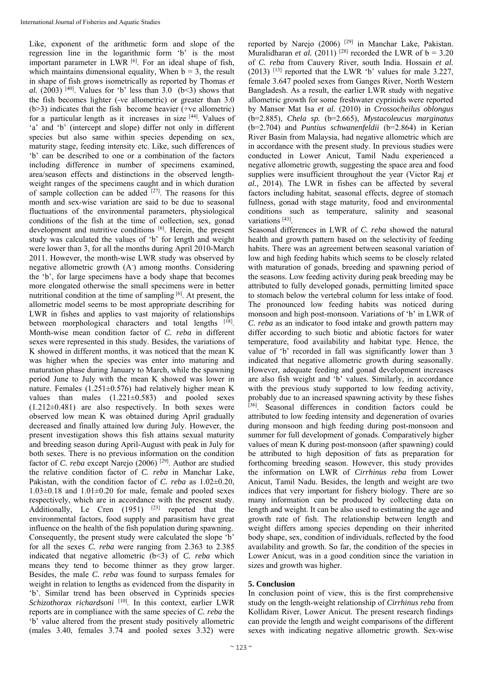Like, exponent of the arithmetic form and slope of the regression line in the logarithmic form 'b' is the most important parameter in LWR <sup>[6]</sup>. For an ideal shape of fish, which maintains dimensional equality, When  $b = 3$ , the result in shape of fish grows isometrically as reported by Thomas *et al.* (2003) <sup>[40]</sup>. Values for 'b' less than 3.0 (b<3) shows that the fish becomes lighter (-ve allometric) or greater than 3.0 (b>3) indicates that the fish become heavier (+ve allometric) for a particular length as it increases in size  $[44]$ . Values of 'a' and 'b' (intercept and slope) differ not only in different species but also same within species depending on sex, maturity stage, feeding intensity etc. Like, such differences of 'b' can be described to one or a combination of the factors including difference in number of specimens examined, area/season effects and distinctions in the observed lengthweight ranges of the specimens caught and in which duration of sample collection can be added  $[27]$ . The reasons for this month and sex-wise variation are said to be due to seasonal fluctuations of the environmental parameters, physiological conditions of the fish at the time of collection, sex, gonad development and nutritive conditions [6]. Herein, the present study was calculated the values of 'b' for length and weight were lower than 3, for all the months during April 2010-March 2011. However, the month-wise LWR study was observed by negative allometric growth (A<sup>-</sup>) among months. Considering the 'b', for large specimens have a body shape that becomes more elongated otherwise the small specimens were in better nutritional condition at the time of sampling [6]. At present, the allometric model seems to be most appropriate describing for LWR in fishes and applies to vast majority of relationships between morphological characters and total lengths [18]. Month-wise mean condition factor of *C. reba* in different sexes were represented in this study. Besides, the variations of K showed in different months, it was noticed that the mean K was higher when the species was enter into maturing and maturation phase during January to March, while the spawning period June to July with the mean K showed was lower in nature. Females (1.251±0.576) had relatively higher mean K values than males  $(1.221 \pm 0.583)$  and pooled sexes (1.212±0.481) are also respectively. In both sexes were observed low mean K was obtained during April gradually decreased and finally attained low during July. However, the present investigation shows this fish attains sexual maturity and breeding season during April-August with peak in July for both sexes. There is no previous information on the condition factor of *C. reba* except Narejo (2006)<sup>[29]</sup>. Author are studied the relative condition factor of *C. reba* in Manchar Lake, Pakistan, with the condition factor of *C. reba* as 1.02±0.20,  $1.03\pm0.18$  and  $1.01\pm0.20$  for male, female and pooled sexes respectively, which are in accordance with the present study. Additionally, Le Cren  $(1951)$   $[23]$  reported that the environmental factors, food supply and parasitism have great influence on the health of the fish population during spawning. Consequently, the present study were calculated the slope 'b' for all the sexes *C. reba* were ranging from 2.363 to 2.385 indicated that negative allometric (b<3) of *C. reba* which means they tend to become thinner as they grow larger. Besides, the male *C. reba* was found to surpass females for weight in relation to lengths as evidenced from the disparity in 'b'. Similar trend has been observed in Cyprinids species *Schizothorax richardsoni* [10]. In this context, earlier LWR reports are in compliance with the same species of *C. reba* the 'b' value altered from the present study positively allometric (males 3.40, females 3.74 and pooled sexes 3.32) were

reported by Narejo (2006) [29] in Manchar Lake, Pakistan. Muralidharan *et al.* (2011)<sup>[28]</sup> recorded the LWR of  $b = 3.20$ of *C. reba* from Cauvery River, south India. Hossain *et al.* (2013)  $[13]$  reported that the LWR 'b' values for male 3.227, female 3.647 pooled sexes from Ganges River, North Western Bangladesh. As a result, the earlier LWR study with negative allometric growth for some freshwater cyprinids were reported by Mansor Mat Isa *et al.* (2010) in *Crossocheilus oblongus* (b=2.885), *Chela sp.* (b=2.665), *Mystacoleucus marginatus* (b=2.704) and *Puntius schwanenfeldii* (b=2.864) in Kerian River Basin from Malaysia, had negative allometric which are in accordance with the present study. In previous studies were conducted in Lower Anicut, Tamil Nadu experienced a negative allometric growth, suggesting the space area and food supplies were insufficient throughout the year (Victor Raj *et al.,* 2014). The LWR in fishes can be affected by several factors including habitat, seasonal effects, degree of stomach fullness, gonad with stage maturity, food and environmental conditions such as temperature, salinity and seasonal variations<sup>[43]</sup>.

Seasonal differences in LWR of *C. reba* showed the natural health and growth pattern based on the selectivity of feeding habits. There was an agreement between seasonal variation of low and high feeding habits which seems to be closely related with maturation of gonads, breeding and spawning period of the seasons. Low feeding activity during peak breeding may be attributed to fully developed gonads, permitting limited space to stomach below the vertebral column for less intake of food. The pronounced low feeding habits was noticed during monsoon and high post-monsoon. Variations of 'b' in LWR of *C. reba* as an indicator to food intake and growth pattern may differ according to such biotic and abiotic factors for water temperature, food availability and habitat type. Hence, the value of 'b' recorded in fall was significantly lower than 3 indicated that negative allometric growth during seasonally. However, adequate feeding and gonad development increases are also fish weight and 'b' values. Similarly, in accordance with the previous study supported to low feeding activity, probably due to an increased spawning activity by these fishes [36]. Seasonal differences in condition factors could be attributed to low feeding intensity and degeneration of ovaries during monsoon and high feeding during post-monsoon and summer for full development of gonads. Comparatively higher values of mean K during post-monsoon (after spawning) could be attributed to high deposition of fats as preparation for forthcoming breeding season. However, this study provides the information on LWR of *Cirrhinus reba* from Lower Anicut, Tamil Nadu. Besides, the length and weight are two indices that very important for fishery biology. There are so many information can be produced by collecting data on length and weight. It can be also used to estimating the age and growth rate of fish. The relationship between length and weight differs among species depending on their inherited body shape, sex, condition of individuals, reflected by the food availability and growth. So far, the condition of the species in Lower Anicut, was in a good condition since the variation in sizes and growth was higher.

# **5. Conclusion**

In conclusion point of view, this is the first comprehensive study on the length-weight relationship of *Cirrhinus reba* from Kollidam River, Lower Anicut. The present research findings can provide the length and weight comparisons of the different sexes with indicating negative allometric growth. Sex-wise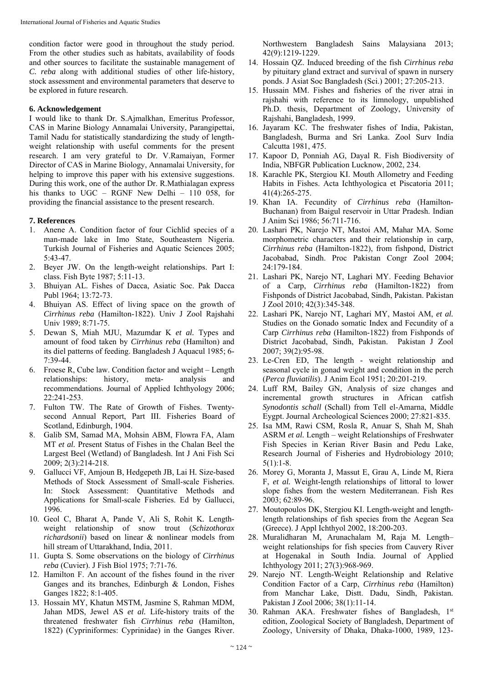condition factor were good in throughout the study period. From the other studies such as habitats, availability of foods and other sources to facilitate the sustainable management of *C. reba* along with additional studies of other life-history, stock assessment and environmental parameters that deserve to be explored in future research.

## **6. Acknowledgement**

I would like to thank Dr. S.Ajmalkhan, Emeritus Professor, CAS in Marine Biology Annamalai University, Parangipettai, Tamil Nadu for statistically standardizing the study of lengthweight relationship with useful comments for the present research. I am very grateful to Dr. V.Ramaiyan, Former Director of CAS in Marine Biology, Annamalai University, for helping to improve this paper with his extensive suggestions. During this work, one of the author Dr. R.Mathialagan express his thanks to UGC – RGNF New Delhi – 110 058, for providing the financial assistance to the present research.

# **7. References**

- 1. Anene A. Condition factor of four Cichlid species of a man-made lake in Imo State, Southeastern Nigeria. Turkish Journal of Fisheries and Aquatic Sciences 2005; 5:43-47.
- 2. Beyer JW. On the length-weight relationships. Part І: class. Fish Byte 1987; 5:11-13.
- 3. Bhuiyan AL. Fishes of Dacca, Asiatic Soc. Pak Dacca Publ 1964; 13:72-73.
- 4. Bhuiyan AS. Effect of living space on the growth of *Cirrhinus reba* (Hamilton-1822). Univ J Zool Rajshahi Univ 1989; 8:71-75.
- 5. Dewan S, Miah MJU, Mazumdar K *et al.* Types and amount of food taken by *Cirrhinus reba* (Hamilton) and its diel patterns of feeding. Bangladesh J Aquacul 1985; 6- 7:39-44.
- 6. Froese R, Cube law. Condition factor and weight Length relationships: history, meta- analysis and recommendations. Journal of Applied Ichthyology 2006; 22:241-253.
- 7. Fulton TW. The Rate of Growth of Fishes. Twentysecond Annual Report, Part III. Fisheries Board of Scotland, Edinburgh, 1904.
- 8. Galib SM, Samad MA, Mohsin ABM, Flowra FA, Alam MT *et al.* Present Status of Fishes in the Chalan Beel the Largest Beel (Wetland) of Bangladesh. Int J Ani Fish Sci 2009; 2(3):214-218.
- 9. Gallucci VF, Amjoun B, Hedgepeth JB, Lai H*.* Size-based Methods of Stock Assessment of Small-scale Fisheries. In: Stock Assessment: Quantitative Methods and Applications for Small-scale Fisheries. Ed by Gallucci, 1996.
- 10. Geol C, Bharat A, Pande V, Ali S, Rohit K*.* Lengthweight relationship of snow trout (*Schizothorax richardsonii*) based on linear & nonlinear models from hill stream of Uttarakhand, India, 2011.
- 11. Gupta S. Some observations on the biology of *Cirrhinus reba* (Cuvier). J Fish Biol 1975; 7:71-76.
- 12. Hamilton F. An account of the fishes found in the river Ganges and its branches, Edinburgh & London, Fishes Ganges 1822; 8:1-405.
- 13. Hossain MY, Khatun MSTM, Jasmine S, Rahman MDM, Jahan MDS, Jewel AS *et al.* Life-history traits of the threatened freshwater fish *Cirrhinus reba* (Hamilton, 1822) (Cypriniformes: Cyprinidae) in the Ganges River.

Northwestern Bangladesh Sains Malaysiana 2013; 42(9):1219-1229.

- 14. Hossain QZ. Induced breeding of the fish *Cirrhinus reba* by pituitary gland extract and survival of spawn in nursery ponds. J Asiat Soc Bangladesh (Sci.) 2001; 27:205-213.
- 15. Hussain MM. Fishes and fisheries of the river atrai in rajshahi with reference to its limnology, unpublished Ph.D. thesis, Department of Zoology, University of Rajshahi, Bangladesh, 1999.
- 16. Jayaram KC. The freshwater fishes of India, Pakistan, Bangladesh, Burma and Sri Lanka. Zool Surv India Calcutta 1981, 475.
- 17. Kapoor D, Ponniah AG, Dayal R. Fish Biodiversity of India, NBFGR Publication Lucknow, 2002, 234.
- 18. Karachle PK, Stergiou KI. Mouth Allometry and Feeding Habits in Fishes. Acta Ichthyologica et Piscatoria 2011; 41(4):265-275.
- 19. Khan IA. Fecundity of *Cirrhinus reba* (Hamilton-Buchanan) from Baigul reservoir in Uttar Pradesh. Indian J Anim Sci 1986; 56:711-716.
- 20. Lashari PK, Narejo NT, Mastoi AM, Mahar MA. Some morphometric characters and their relationship in carp, *Cirrhinus reba* (Hamilton-1822), from fishpond, District Jacobabad, Sindh. Proc Pakistan Congr Zool 2004; 24:179-184.
- 21. Lashari PK, Narejo NT, Laghari MY. Feeding Behavior of a Carp, *Cirrhinus reba* (Hamilton-1822) from Fishponds of District Jacobabad, Sindh, Pakistan. Pakistan J Zool 2010; 42(3):345-348.
- 22. Lashari PK, Narejo NT, Laghari MY, Mastoi AM, *et al.* Studies on the Gonado somatic Index and Fecundity of a Carp *Cirrhinus reba* (Hamilton-1822) from Fishponds of District Jacobabad, Sindh, Pakistan. Pakistan J Zool 2007; 39(2):95-98.
- 23. Le-Cren ED, The length weight relationship and seasonal cycle in gonad weight and condition in the perch (*Perca fluviatilis*). J Anim Ecol 1951; 20:201-219.
- 24. Luff RM, Bailey GN, Analysis of size changes and incremental growth structures in African catfish *Synodontis schall* (Schall) from Tell el-Amarna, Middle Eygpt. Journal Archeological Sciences 2000; 27:821-835.
- 25. Isa MM, Rawi CSM, Rosla R, Anuar S, Shah M, Shah ASRM *et al.* Length – weight Relationships of Freshwater Fish Species in Kerian River Basin and Pedu Lake, Research Journal of Fisheries and Hydrobiology 2010;  $5(1):1-8.$
- 26. Morey G, Moranta J, Massut E, Grau A, Linde M, Riera F, *et al.* Weight-length relationships of littoral to lower slope fishes from the western Mediterranean. Fish Res 2003; 62:89-96.
- 27. Moutopoulos DK, Stergiou KI. Length-weight and lengthlength relationships of fish species from the Aegean Sea (Greece). J Appl Ichthyol 2002, 18:200-203.
- 28. Muralidharan M, Arunachalam M, Raja M*.* Length– weight relationships for fish species from Cauvery River at Hogenakal in South India. Journal of Applied Ichthyology 2011; 27(3):968-969.
- 29. Narejo NT. Length-Weight Relationship and Relative Condition Factor of a Carp, *Cirrhinus reba* (Hamilton) from Manchar Lake, Distt. Dadu, Sindh, Pakistan*.*  Pakistan J Zool 2006; 38(1):11-14.
- 30. Rahman AKA. Freshwater fishes of Bangladesh, 1st edition, Zoological Society of Bangladesh, Department of Zoology, University of Dhaka, Dhaka-1000, 1989, 123-